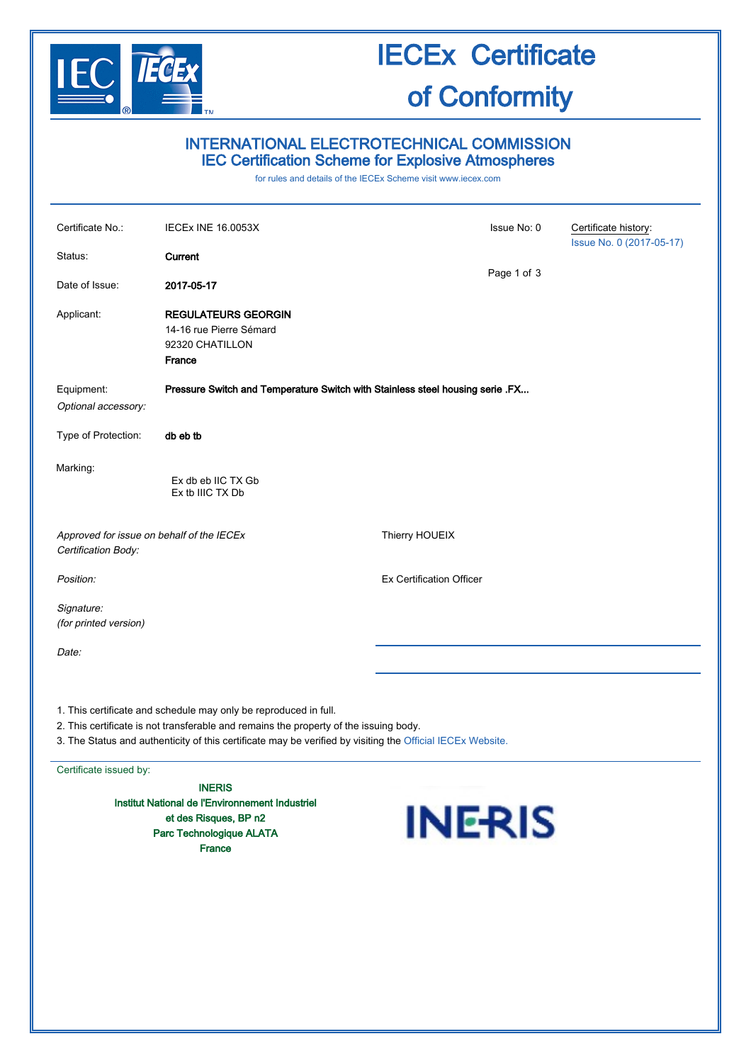

## INTERNATIONAL ELECTROTECHNICAL COMMISSION IEC Certification Scheme for Explosive Atmospheres

for rules and details of the IECEx Scheme visit [www.iecex.com](http://www.iecex.com/)

| Certificate No.:                                                                                                                                          | IECEx INE 16.0053X                                                                 |                                 | Issue No: 0 | Certificate history:     |
|-----------------------------------------------------------------------------------------------------------------------------------------------------------|------------------------------------------------------------------------------------|---------------------------------|-------------|--------------------------|
| Status:                                                                                                                                                   | Current                                                                            |                                 |             | Issue No. 0 (2017-05-17) |
| Date of Issue:                                                                                                                                            | 2017-05-17                                                                         |                                 | Page 1 of 3 |                          |
| Applicant:                                                                                                                                                | <b>REGULATEURS GEORGIN</b><br>14-16 rue Pierre Sémard<br>92320 CHATILLON<br>France |                                 |             |                          |
| Equipment:<br>Optional accessory:                                                                                                                         | Pressure Switch and Temperature Switch with Stainless steel housing serie .FX      |                                 |             |                          |
| Type of Protection:                                                                                                                                       | db eb tb                                                                           |                                 |             |                          |
| Marking:                                                                                                                                                  | Ex db eb IIC TX Gb<br>Ex tb IIIC TX Db                                             |                                 |             |                          |
| Approved for issue on behalf of the IECEx<br>Certification Body:                                                                                          |                                                                                    | Thierry HOUEIX                  |             |                          |
| Position:                                                                                                                                                 |                                                                                    | <b>Ex Certification Officer</b> |             |                          |
| Signature:<br>(for printed version)                                                                                                                       |                                                                                    |                                 |             |                          |
| Date:                                                                                                                                                     |                                                                                    |                                 |             |                          |
|                                                                                                                                                           |                                                                                    |                                 |             |                          |
| 1. This certificate and schedule may only be reproduced in full.<br>2. This certificate is not transferable and remains the property of the issuing body. |                                                                                    |                                 |             |                          |

3. The Status and authenticity of this certificate may be verified by visiting the [Official IECEx Website.](http://iecex.iec.ch/)

Certificate issued by:

INERIS Institut National de l'Environnement Industriel et des Risques, BP n2 Parc Technologique ALATA France

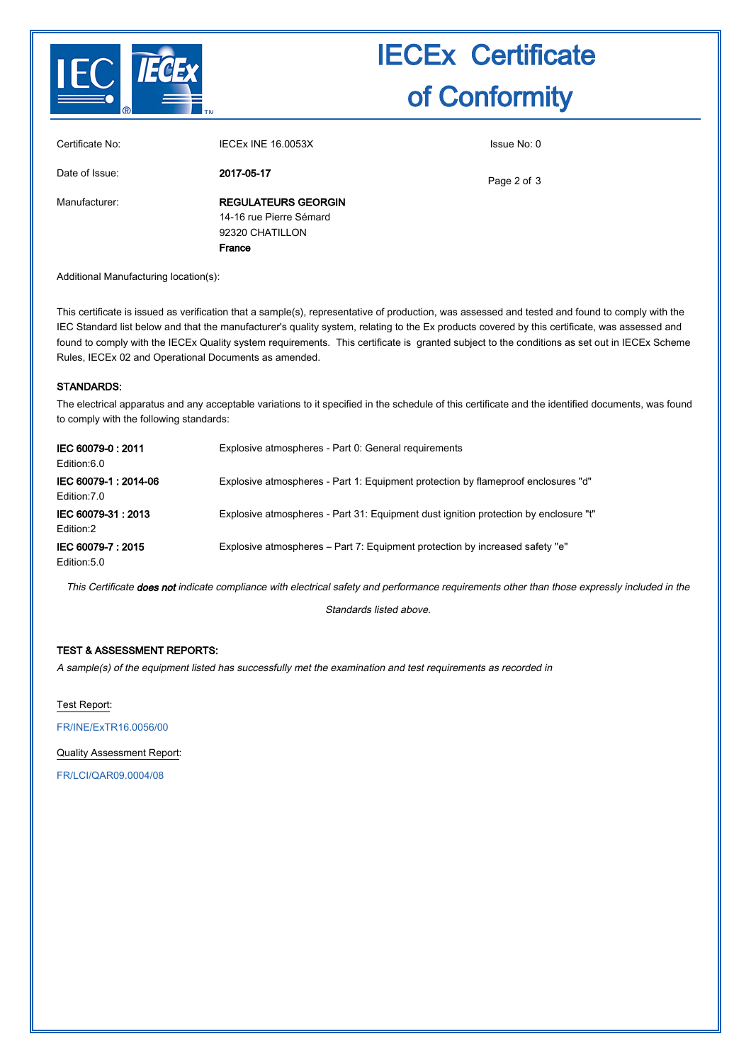

| France                     |             |
|----------------------------|-------------|
| 92320 CHATILLON            |             |
| 14-16 rue Pierre Sémard    |             |
| <b>REGULATEURS GEORGIN</b> |             |
| 2017-05-17                 | Page 2 of 3 |
| <b>IECEX INE 16,0053X</b>  | Issue No: 0 |
|                            |             |

Additional Manufacturing location(s):

This certificate is issued as verification that a sample(s), representative of production, was assessed and tested and found to comply with the IEC Standard list below and that the manufacturer's quality system, relating to the Ex products covered by this certificate, was assessed and found to comply with the IECEx Quality system requirements. This certificate is granted subject to the conditions as set out in IECEx Scheme Rules, IECEx 02 and Operational Documents as amended.

#### STANDARDS:

The electrical apparatus and any acceptable variations to it specified in the schedule of this certificate and the identified documents, was found to comply with the following standards:

| IEC 60079-0:2011<br>Edition:6.0     | Explosive atmospheres - Part 0: General requirements                                 |
|-------------------------------------|--------------------------------------------------------------------------------------|
| IEC 60079-1:2014-06<br>Edition: 7.0 | Explosive atmospheres - Part 1: Equipment protection by flameproof enclosures "d"    |
| IEC 60079-31: 2013<br>Edition:2     | Explosive atmospheres - Part 31: Equipment dust ignition protection by enclosure "t" |
| IEC 60079-7:2015<br>Edition: 5.0    | Explosive atmospheres – Part 7: Equipment protection by increased safety "e"         |

This Certificate does not indicate compliance with electrical safety and performance requirements other than those expressly included in the

Standards listed above.

#### TEST & ASSESSMENT REPORTS:

A sample(s) of the equipment listed has successfully met the examination and test requirements as recorded in

Test Report:

[FR/INE/ExTR16.0056/00](http://iecex.iec.ch/iecex/iecexweb.nsf/ExTRNumber/FR/INE/ExTR16.0056/00?OpenDocument)

Quality Assessment Report:

[FR/LCI/QAR09.0004/08](http://iecex.iec.ch/iecex/iecexweb.nsf/QARNumber/FR/LCI/QAR09.0004/08?OpenDocument)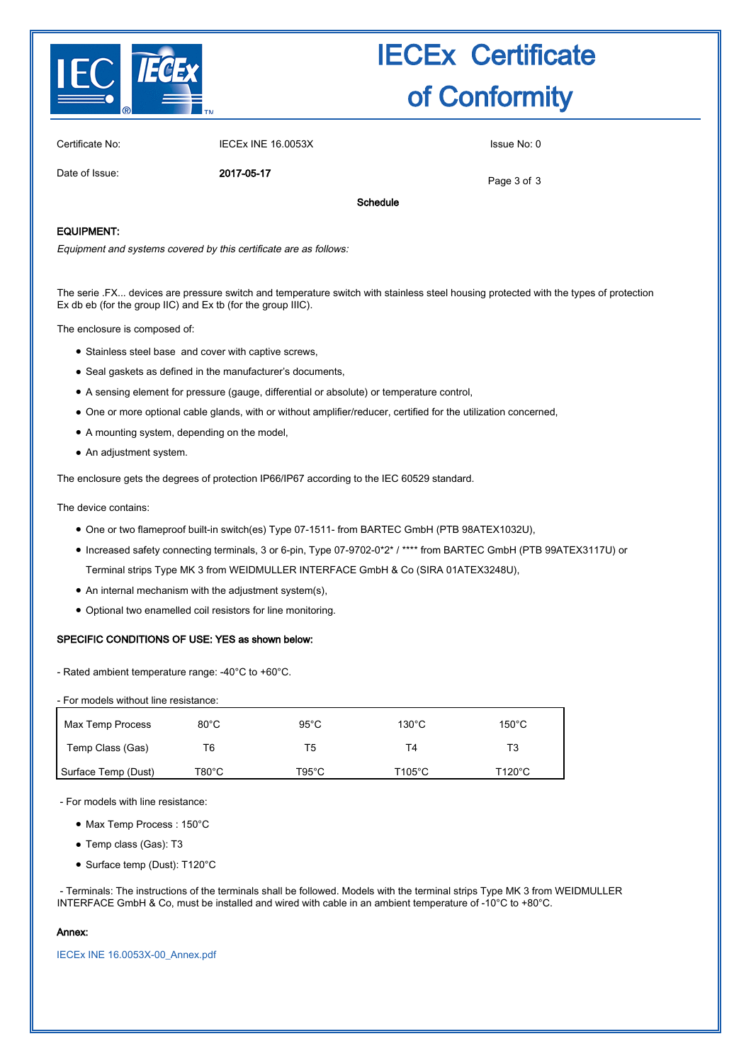

Certificate No: IECEx INE 16.0053X Issue No: 0

Date of Issue: 2017-05-17

Page 3 of 3

Schedule

#### EQUIPMENT:

Equipment and systems covered by this certificate are as follows:

The serie .FX... devices are pressure switch and temperature switch with stainless steel housing protected with the types of protection Ex db eb (for the group IIC) and Ex tb (for the group IIIC).

The enclosure is composed of:

- Stainless steel base and cover with captive screws,
- Seal gaskets as defined in the manufacturer's documents,
- A sensing element for pressure (gauge, differential or absolute) or temperature control,
- One or more optional cable glands, with or without amplifier/reducer, certified for the utilization concerned,
- A mounting system, depending on the model,
- An adjustment system.

The enclosure gets the degrees of protection IP66/IP67 according to the IEC 60529 standard.

The device contains:

- One or two flameproof built-in switch(es) Type 07-1511- from BARTEC GmbH (PTB 98ATEX1032U),
- Increased safety connecting terminals, 3 or 6-pin, Type 07-9702-0\*2\* / \*\*\*\* from BARTEC GmbH (PTB 99ATEX3117U) or Terminal strips Type MK 3 from WEIDMULLER INTERFACE GmbH & Co (SIRA 01ATEX3248U),
- $\bullet$  An internal mechanism with the adjustment system(s),
- Optional two enamelled coil resistors for line monitoring.

#### SPECIFIC CONDITIONS OF USE: YES as shown below:

- Rated ambient temperature range: -40°C to +60°C.

| - For models without line resistance: |                |                |                  |                 |
|---------------------------------------|----------------|----------------|------------------|-----------------|
| Max Temp Process                      | $80^{\circ}$ C | $95^{\circ}$ C | $130^{\circ}$ C  | $150^{\circ}$ C |
| Temp Class (Gas)                      | Τ6             | T5             | T4               | T3              |
| Surface Temp (Dust)                   | T80°C          | T95°C          | $T105^{\circ}$ C | T120°C          |

- For models with line resistance:

- Max Temp Process : 150°C
- Temp class (Gas): T3
- Surface temp (Dust): T120°C

 - Terminals: The instructions of the terminals shall be followed. Models with the terminal strips Type MK 3 from WEIDMULLER INTERFACE GmbH & Co, must be installed and wired with cable in an ambient temperature of -10°C to +80°C.

#### Annex:

[IECEx INE 16.0053X-00\\_Annex.pdf](http://iecex.iec.ch/iecex/iecexweb.nsf/0/D66AE5E77692BF79C12580760052FC55/$File/IECEx INE 16.0053X-00_Annex.pdf)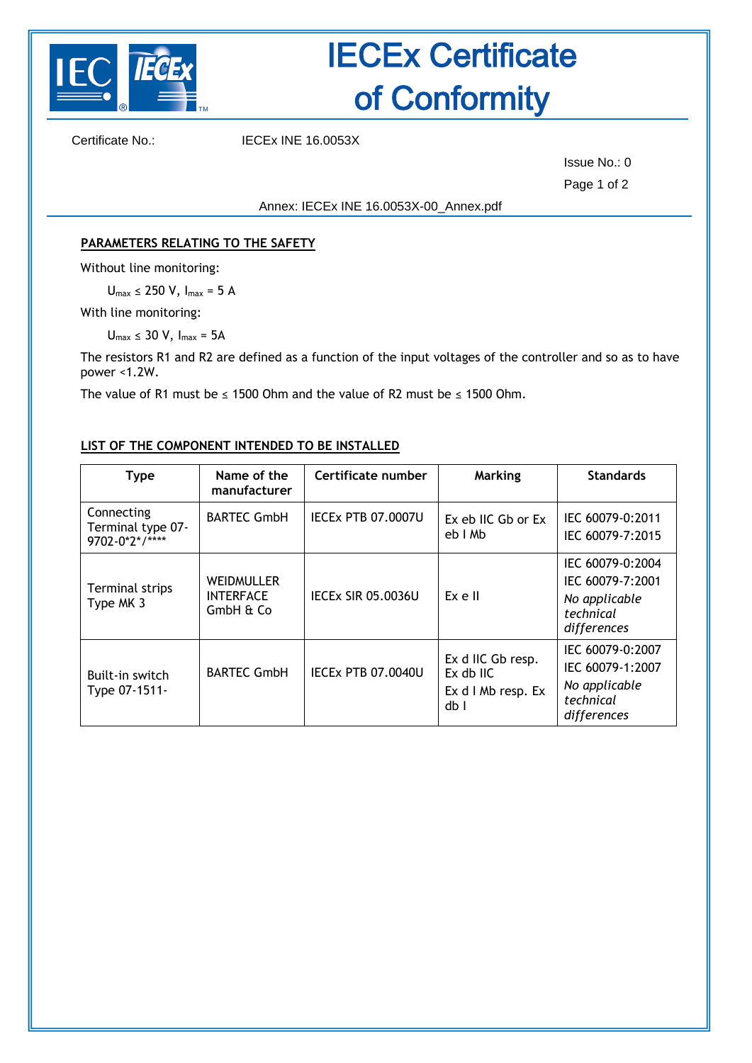

Certificate No.: IECEx INE 16.0053X

Issue No.: 0 Page 1 of 2

<span id="page-3-0"></span>Annex: IECEx INE [16.0053X-](#page-3-0)00\_Annex.pdf

## **PARAMETERS RELATING TO THE SAFETY**

Without line monitoring:

 $U_{max} \leq 250$  V,  $I_{max} = 5$  A

With line monitoring:

 $U_{max} \leq 30$  V,  $I_{max} = 5A$ 

The resistors R1 and R2 are defined as a function of the input voltages of the controller and so as to have power <1.2W.

The value of R1 must be  $\leq$  1500 Ohm and the value of R2 must be  $\leq$  1500 Ohm.

## **LIST OF THE COMPONENT INTENDED TO BE INSTALLED**

| <b>Type</b>                                       | Name of the<br>manufacturer                        | Certificate number        | Marking                                                      | <b>Standards</b>                                                                  |
|---------------------------------------------------|----------------------------------------------------|---------------------------|--------------------------------------------------------------|-----------------------------------------------------------------------------------|
| Connecting<br>Terminal type 07-<br>9702-0*2*/**** | <b>BARTEC GmbH</b>                                 | <b>IECEX PTB 07.0007U</b> | Ex eb IIC Gb or Ex<br>eb I Mb                                | IEC 60079-0:2011<br>IEC 60079-7:2015                                              |
| Terminal strips<br>Type MK 3                      | <b>WEIDMULLER</b><br><b>INTERFACE</b><br>GmbH & Co | <b>IECEX SIR 05.0036U</b> | Ex e II                                                      | IEC 60079-0:2004<br>IEC 60079-7:2001<br>No applicable<br>technical<br>differences |
| Built-in switch<br>Type 07-1511-                  | <b>BARTEC GmbH</b>                                 | <b>IECEX PTB 07.0040U</b> | Ex d IIC Gb resp.<br>Ex db IIC<br>Ex d I Mb resp. Ex<br>db I | IEC 60079-0:2007<br>IEC 60079-1:2007<br>No applicable<br>technical<br>differences |